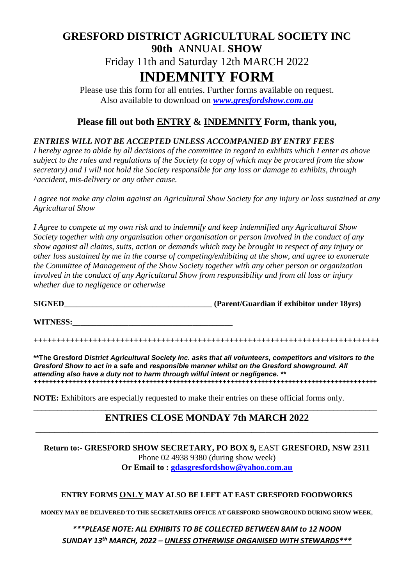## **GRESFORD DISTRICT AGRICULTURAL SOCIETY INC 90th** ANNUAL **SHOW** Friday 11th and Saturday 12th MARCH 2022 **INDEMNITY FORM**

Please use this form for all entries. Further forms available on request. Also available to download on *[www.gresfordshow.com.](http://www.gresfordshow.com/)au*

## **Please fill out both ENTRY & INDEMNITY Form, thank you,**

## *ENTRIES WILL NOT BE ACCEPTED UNLESS ACCOMPANIED BY ENTRY FEES*

*I hereby agree to abide by all decisions of the committee in regard to exhibits which I enter as above subject to the rules and regulations of the Society (a copy of which may be procured from the show secretary) and I will not hold the Society responsible for any loss or damage to exhibits, through ^accident, mis-delivery or any other cause.*

*I agree not make any claim against an Agricultural Show Society for any injury or loss sustained at any Agricultural Show*

*I Agree to compete at my own risk and to indemnify and keep indemnified any Agricultural Show Society together with any organisation other organisation or person involved in the conduct of any show against all claims, suits, action or demands which may be brought in respect of any injury or other loss sustained by me in the course of competing/exhibiting at the show, and agree to exonerate the Committee of Management of the Show Society together with any other person or organization involved in the conduct of any Agricultural Show from responsibility and from all loss or injury whether due to negligence or otherwise*

**SIGNED** (Parent/Guardian if exhibitor under 18yrs)

**WITNESS:\_\_\_\_\_\_\_\_\_\_\_\_\_\_\_\_\_\_\_\_\_\_\_\_\_\_\_\_\_\_\_\_\_\_\_\_\_\_\_\_**

**++++++++++++++++++++++++++++++++++++++++++++++++++++++++++++++++++++++++++++**

**\*\*The Gresford** *District Agricultural Society Inc. asks that all volunteers, competitors and visitors to the Gresford Show to act in* **a safe and** *responsible manner whilst on the Gresford showground. All attending also have a duty not to harm through wilful intent or negligence. \*\* +++++++++++++++++++++++++++++++++++++++++++++++++++++++++++++++++++++++++++++++++++++++++*

**NOTE:** Exhibitors are especially requested to make their entries on these official forms only.

#### \_\_\_\_\_\_\_\_\_\_\_\_\_\_\_\_\_\_\_\_\_\_\_\_\_\_\_\_\_\_\_\_\_\_\_\_\_\_\_\_\_\_\_\_\_\_\_\_\_\_\_\_\_\_\_\_\_\_\_\_\_\_\_\_\_\_\_\_\_\_\_\_\_\_\_\_\_\_\_\_\_\_\_\_\_\_ **ENTRIES CLOSE MONDAY 7th MARCH 2022 \_\_\_\_\_\_\_\_\_\_\_\_\_\_\_\_\_\_\_\_\_\_\_\_\_\_\_\_\_\_\_\_\_\_\_\_\_\_\_\_\_\_\_\_\_\_\_\_\_\_\_\_\_\_\_\_\_\_\_\_\_\_\_\_\_\_\_\_\_\_\_\_\_**

**Return to:- GRESFORD SHOW SECRETARY, PO BOX 9, EAST GRESFORD, NSW 2311** Phone 02 4938 9380 (during show week) **Or Email to : [gdasgresfordshow@yahoo.com.au](mailto:gdasgresfordshow@yahoo.com.au)**

#### **ENTRY FORMS ONLY MAY ALSO BE LEFT AT EAST GRESFORD FOODWORKS**

**MONEY MAY BE DELIVERED TO THE SECRETARIES OFFICE AT GRESFORD SHOWGROUND DURING SHOW WEEK,**

### *\*\*\*PLEASE NOTE: ALL EXHIBITS TO BE COLLECTED BETWEEN 8AM to 12 NOON SUNDAY 13 th MARCH, 2022 – UNLESS OTHERWISE ORGANISED WITH STEWARDS\*\*\**